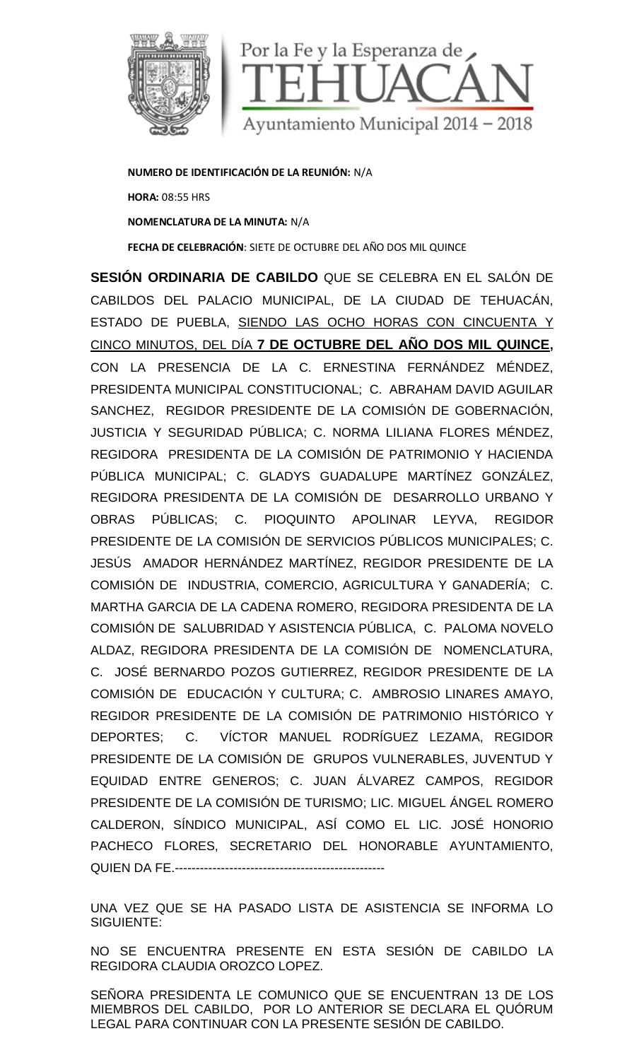

**NUMERO DE IDENTIFICACIÓN DE LA REUNIÓN:** N/A **HORA:** 08:55 HRS **NOMENCLATURA DE LA MINUTA:** N/A **FECHA DE CELEBRACIÓN**: SIETE DE OCTUBRE DEL AÑO DOS MIL QUINCE

**SESIÓN ORDINARIA DE CABILDO** QUE SE CELEBRA EN EL SALÓN DE CABILDOS DEL PALACIO MUNICIPAL, DE LA CIUDAD DE TEHUACÁN, ESTADO DE PUEBLA, SIENDO LAS OCHO HORAS CON CINCUENTA Y CINCO MINUTOS, DEL DÍA **7 DE OCTUBRE DEL AÑO DOS MIL QUINCE,** CON LA PRESENCIA DE LA C. ERNESTINA FERNÁNDEZ MÉNDEZ, PRESIDENTA MUNICIPAL CONSTITUCIONAL; C. ABRAHAM DAVID AGUILAR SANCHEZ, REGIDOR PRESIDENTE DE LA COMISIÓN DE GOBERNACIÓN, JUSTICIA Y SEGURIDAD PÚBLICA; C. NORMA LILIANA FLORES MÉNDEZ, REGIDORA PRESIDENTA DE LA COMISIÓN DE PATRIMONIO Y HACIENDA PÚBLICA MUNICIPAL; C. GLADYS GUADALUPE MARTÍNEZ GONZÁLEZ, REGIDORA PRESIDENTA DE LA COMISIÓN DE DESARROLLO URBANO Y OBRAS PÚBLICAS; C. PIOQUINTO APOLINAR LEYVA, REGIDOR PRESIDENTE DE LA COMISIÓN DE SERVICIOS PÚBLICOS MUNICIPALES; C. JESÚS AMADOR HERNÁNDEZ MARTÍNEZ, REGIDOR PRESIDENTE DE LA COMISIÓN DE INDUSTRIA, COMERCIO, AGRICULTURA Y GANADERÍA; C. MARTHA GARCIA DE LA CADENA ROMERO, REGIDORA PRESIDENTA DE LA COMISIÓN DE SALUBRIDAD Y ASISTENCIA PÚBLICA, C. PALOMA NOVELO ALDAZ, REGIDORA PRESIDENTA DE LA COMISIÓN DE NOMENCLATURA, C. JOSÉ BERNARDO POZOS GUTIERREZ, REGIDOR PRESIDENTE DE LA COMISIÓN DE EDUCACIÓN Y CULTURA; C. AMBROSIO LINARES AMAYO, REGIDOR PRESIDENTE DE LA COMISIÓN DE PATRIMONIO HISTÓRICO Y DEPORTES; C. VÍCTOR MANUEL RODRÍGUEZ LEZAMA, REGIDOR PRESIDENTE DE LA COMISIÓN DE GRUPOS VULNERABLES, JUVENTUD Y EQUIDAD ENTRE GENEROS; C. JUAN ÁLVAREZ CAMPOS, REGIDOR PRESIDENTE DE LA COMISIÓN DE TURISMO; LIC. MIGUEL ÁNGEL ROMERO CALDERON, SÍNDICO MUNICIPAL, ASÍ COMO EL LIC. JOSÉ HONORIO PACHECO FLORES, SECRETARIO DEL HONORABLE AYUNTAMIENTO, QUIEN DA FE.-------------------------

UNA VEZ QUE SE HA PASADO LISTA DE ASISTENCIA SE INFORMA LO SIGUIENTE:

NO SE ENCUENTRA PRESENTE EN ESTA SESIÓN DE CABILDO LA REGIDORA CLAUDIA OROZCO LOPEZ.

SEÑORA PRESIDENTA LE COMUNICO QUE SE ENCUENTRAN 13 DE LOS MIEMBROS DEL CABILDO, POR LO ANTERIOR SE DECLARA EL QUÓRUM LEGAL PARA CONTINUAR CON LA PRESENTE SESIÓN DE CABILDO.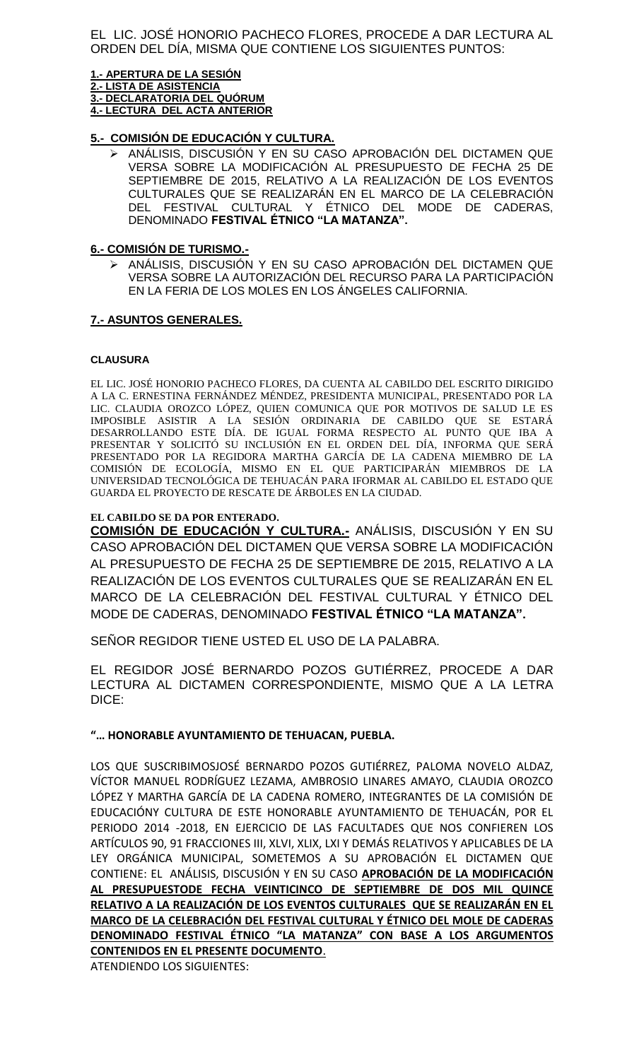EL LIC. JOSÉ HONORIO PACHECO FLORES, PROCEDE A DAR LECTURA AL ORDEN DEL DÍA, MISMA QUE CONTIENE LOS SIGUIENTES PUNTOS:

**1.- APERTURA DE LA SESIÓN 2.- LISTA DE ASISTENCIA 3.- DECLARATORIA DEL QUÓRUM 4.- LECTURA DEL ACTA ANTERIOR**

### **5.- COMISIÓN DE EDUCACIÓN Y CULTURA.**

 ANÁLISIS, DISCUSIÓN Y EN SU CASO APROBACIÓN DEL DICTAMEN QUE VERSA SOBRE LA MODIFICACIÓN AL PRESUPUESTO DE FECHA 25 DE SEPTIEMBRE DE 2015, RELATIVO A LA REALIZACIÓN DE LOS EVENTOS CULTURALES QUE SE REALIZARÁN EN EL MARCO DE LA CELEBRACIÓN DEL FESTIVAL CULTURAL Y ÉTNICO DEL MODE DE CADERAS, DENOMINADO **FESTIVAL ÉTNICO "LA MATANZA".**

### **6.- COMISIÓN DE TURISMO.-**

 ANÁLISIS, DISCUSIÓN Y EN SU CASO APROBACIÓN DEL DICTAMEN QUE VERSA SOBRE LA AUTORIZACIÓN DEL RECURSO PARA LA PARTICIPACIÓN EN LA FERIA DE LOS MOLES EN LOS ÁNGELES CALIFORNIA.

### **7.- ASUNTOS GENERALES.**

### **CLAUSURA**

EL LIC. JOSÉ HONORIO PACHECO FLORES, DA CUENTA AL CABILDO DEL ESCRITO DIRIGIDO A LA C. ERNESTINA FERNÁNDEZ MÉNDEZ, PRESIDENTA MUNICIPAL, PRESENTADO POR LA LIC. CLAUDIA OROZCO LÓPEZ, QUIEN COMUNICA QUE POR MOTIVOS DE SALUD LE ES IMPOSIBLE ASISTIR A LA SESIÓN ORDINARIA DE CABILDO QUE SE ESTARÁ DESARROLLANDO ESTE DÍA. DE IGUAL FORMA RESPECTO AL PUNTO QUE IBA A PRESENTAR Y SOLICITÓ SU INCLUSIÓN EN EL ORDEN DEL DÍA, INFORMA QUE SERÁ PRESENTADO POR LA REGIDORA MARTHA GARCÍA DE LA CADENA MIEMBRO DE LA COMISIÓN DE ECOLOGÍA, MISMO EN EL QUE PARTICIPARÁN MIEMBROS DE LA UNIVERSIDAD TECNOLÓGICA DE TEHUACÁN PARA IFORMAR AL CABILDO EL ESTADO QUE GUARDA EL PROYECTO DE RESCATE DE ÁRBOLES EN LA CIUDAD.

### **EL CABILDO SE DA POR ENTERADO.**

**COMISION DE EDUCACION Y CULTURA.-** ANÁLISIS, DISCUSIÓN Y EN SU CASO APROBACIÓN DEL DICTAMEN QUE VERSA SOBRE LA MODIFICACIÓN AL PRESUPUESTO DE FECHA 25 DE SEPTIEMBRE DE 2015, RELATIVO A LA REALIZACIÓN DE LOS EVENTOS CULTURALES QUE SE REALIZARÁN EN EL MARCO DE LA CELEBRACIÓN DEL FESTIVAL CULTURAL Y ÉTNICO DEL MODE DE CADERAS, DENOMINADO **FESTIVAL ÉTNICO "LA MATANZA".**

SEÑOR REGIDOR TIENE USTED EL USO DE LA PALABRA.

EL REGIDOR JOSÉ BERNARDO POZOS GUTIÉRREZ, PROCEDE A DAR LECTURA AL DICTAMEN CORRESPONDIENTE, MISMO QUE A LA LETRA DICE:

### **"… HONORABLE AYUNTAMIENTO DE TEHUACAN, PUEBLA.**

LOS QUE SUSCRIBIMOSJOSÉ BERNARDO POZOS GUTIÉRREZ, PALOMA NOVELO ALDAZ, VÍCTOR MANUEL RODRÍGUEZ LEZAMA, AMBROSIO LINARES AMAYO, CLAUDIA OROZCO LÓPEZ Y MARTHA GARCÍA DE LA CADENA ROMERO, INTEGRANTES DE LA COMISIÓN DE EDUCACIÓNY CULTURA DE ESTE HONORABLE AYUNTAMIENTO DE TEHUACÁN, POR EL PERIODO 2014 -2018, EN EJERCICIO DE LAS FACULTADES QUE NOS CONFIEREN LOS ARTÍCULOS 90, 91 FRACCIONES III, XLVI, XLIX, LXI Y DEMÁS RELATIVOS Y APLICABLES DE LA LEY ORGÁNICA MUNICIPAL, SOMETEMOS A SU APROBACIÓN EL DICTAMEN QUE CONTIENE: EL ANÁLISIS, DISCUSIÓN Y EN SU CASO **APROBACIÓN DE LA MODIFICACIÓN AL PRESUPUESTODE FECHA VEINTICINCO DE SEPTIEMBRE DE DOS MIL QUINCE RELATIVO A LA REALIZACIÓN DE LOS EVENTOS CULTURALES QUE SE REALIZARÁN EN EL MARCO DE LA CELEBRACIÓN DEL FESTIVAL CULTURAL Y ÉTNICO DEL MOLE DE CADERAS DENOMINADO FESTIVAL ÉTNICO "LA MATANZA" CON BASE A LOS ARGUMENTOS CONTENIDOS EN EL PRESENTE DOCUMENTO**.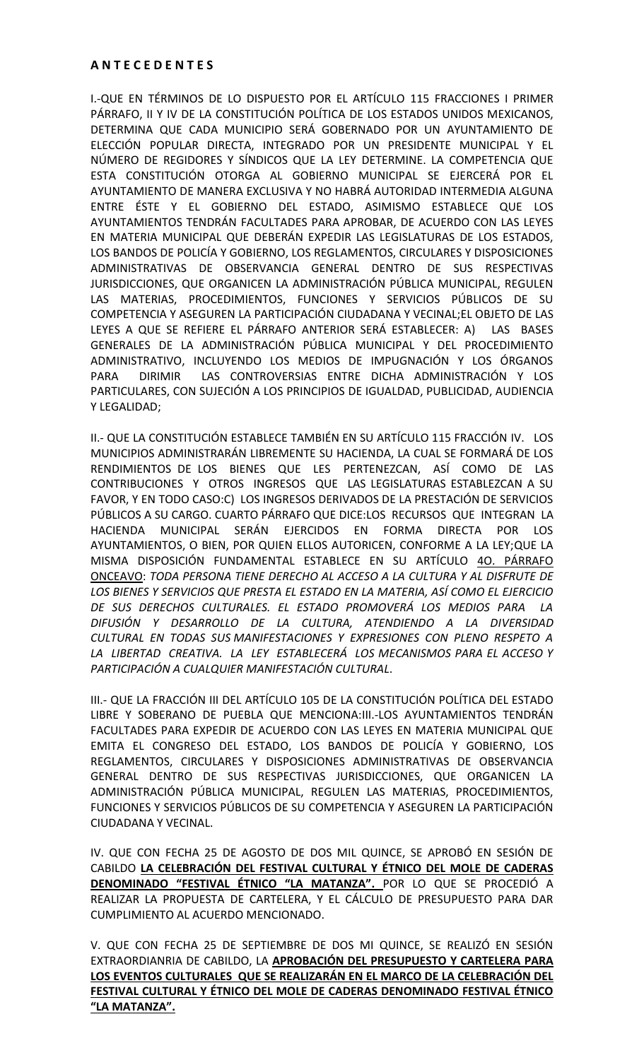I.-QUE EN TÉRMINOS DE LO DISPUESTO POR EL ARTÍCULO 115 FRACCIONES I PRIMER PÁRRAFO, II Y IV DE LA CONSTITUCIÓN POLÍTICA DE LOS ESTADOS UNIDOS MEXICANOS, DETERMINA QUE CADA MUNICIPIO SERÁ GOBERNADO POR UN AYUNTAMIENTO DE ELECCIÓN POPULAR DIRECTA, INTEGRADO POR UN PRESIDENTE MUNICIPAL Y EL NÚMERO DE REGIDORES Y SÍNDICOS QUE LA LEY DETERMINE. LA COMPETENCIA QUE ESTA CONSTITUCIÓN OTORGA AL GOBIERNO MUNICIPAL SE EJERCERÁ POR EL AYUNTAMIENTO DE MANERA EXCLUSIVA Y NO HABRÁ AUTORIDAD INTERMEDIA ALGUNA ENTRE ÉSTE Y EL GOBIERNO DEL ESTADO, ASIMISMO ESTABLECE QUE LOS AYUNTAMIENTOS TENDRÁN FACULTADES PARA APROBAR, DE ACUERDO CON LAS LEYES EN MATERIA MUNICIPAL QUE DEBERÁN EXPEDIR LAS LEGISLATURAS DE LOS ESTADOS, LOS BANDOS DE POLICÍA Y GOBIERNO, LOS REGLAMENTOS, CIRCULARES Y DISPOSICIONES ADMINISTRATIVAS DE OBSERVANCIA GENERAL DENTRO DE SUS RESPECTIVAS JURISDICCIONES, QUE ORGANICEN LA ADMINISTRACIÓN PÚBLICA MUNICIPAL, REGULEN LAS MATERIAS, PROCEDIMIENTOS, FUNCIONES Y SERVICIOS PÚBLICOS DE SU COMPETENCIA Y ASEGUREN LA PARTICIPACIÓN CIUDADANA Y VECINAL;EL OBJETO DE LAS LEYES A QUE SE REFIERE EL PÁRRAFO ANTERIOR SERÁ ESTABLECER: A) LAS BASES GENERALES DE LA ADMINISTRACIÓN PÚBLICA MUNICIPAL Y DEL PROCEDIMIENTO ADMINISTRATIVO, INCLUYENDO LOS MEDIOS DE IMPUGNACIÓN Y LOS ÓRGANOS PARA DIRIMIR LAS CONTROVERSIAS ENTRE DICHA ADMINISTRACIÓN Y LOS PARTICULARES, CON SUJECIÓN A LOS PRINCIPIOS DE IGUALDAD, PUBLICIDAD, AUDIENCIA Y LEGALIDAD;

II.- QUE LA CONSTITUCIÓN ESTABLECE TAMBIÉN EN SU ARTÍCULO 115 FRACCIÓN IV. LOS MUNICIPIOS ADMINISTRARÁN LIBREMENTE SU HACIENDA, LA CUAL SE FORMARÁ DE LOS RENDIMIENTOS DE LOS BIENES QUE LES PERTENEZCAN, ASÍ COMO DE LAS CONTRIBUCIONES Y OTROS INGRESOS QUE LAS LEGISLATURAS ESTABLEZCAN A SU FAVOR, Y EN TODO CASO:C) LOS INGRESOS DERIVADOS DE LA PRESTACIÓN DE SERVICIOS PÚBLICOS A SU CARGO. CUARTO PÁRRAFO QUE DICE:LOS RECURSOS QUE INTEGRAN LA HACIENDA MUNICIPAL SERÁN EJERCIDOS EN FORMA DIRECTA POR LOS AYUNTAMIENTOS, O BIEN, POR QUIEN ELLOS AUTORICEN, CONFORME A LA LEY;QUE LA MISMA DISPOSICIÓN FUNDAMENTAL ESTABLECE EN SU ARTÍCULO 4O. PÁRRAFO ONCEAVO: *TODA PERSONA TIENE DERECHO AL ACCESO A LA CULTURA Y AL DISFRUTE DE LOS BIENES Y SERVICIOS QUE PRESTA EL ESTADO EN LA MATERIA, ASÍ COMO EL EJERCICIO DE SUS DERECHOS CULTURALES. EL ESTADO PROMOVERÁ LOS MEDIOS PARA LA DIFUSIÓN Y DESARROLLO DE LA CULTURA, ATENDIENDO A LA DIVERSIDAD CULTURAL EN TODAS SUS MANIFESTACIONES Y EXPRESIONES CON PLENO RESPETO A LA LIBERTAD CREATIVA. LA LEY ESTABLECERÁ LOS MECANISMOS PARA EL ACCESO Y PARTICIPACIÓN A CUALQUIER MANIFESTACIÓN CULTURAL*.

III.- QUE LA FRACCIÓN III DEL ARTÍCULO 105 DE LA CONSTITUCIÓN POLÍTICA DEL ESTADO LIBRE Y SOBERANO DE PUEBLA QUE MENCIONA:III.-LOS AYUNTAMIENTOS TENDRÁN FACULTADES PARA EXPEDIR DE ACUERDO CON LAS LEYES EN MATERIA MUNICIPAL QUE EMITA EL CONGRESO DEL ESTADO, LOS BANDOS DE POLICÍA Y GOBIERNO, LOS REGLAMENTOS, CIRCULARES Y DISPOSICIONES ADMINISTRATIVAS DE OBSERVANCIA GENERAL DENTRO DE SUS RESPECTIVAS JURISDICCIONES, QUE ORGANICEN LA ADMINISTRACIÓN PÚBLICA MUNICIPAL, REGULEN LAS MATERIAS, PROCEDIMIENTOS, FUNCIONES Y SERVICIOS PÚBLICOS DE SU COMPETENCIA Y ASEGUREN LA PARTICIPACIÓN CIUDADANA Y VECINAL.

IV. QUE CON FECHA 25 DE AGOSTO DE DOS MIL QUINCE, SE APROBÓ EN SESIÓN DE CABILDO **LA CELEBRACIÓN DEL FESTIVAL CULTURAL Y ÉTNICO DEL MOLE DE CADERAS DENOMINADO "FESTIVAL ÉTNICO "LA MATANZA".** POR LO QUE SE PROCEDIÓ A REALIZAR LA PROPUESTA DE CARTELERA, Y EL CÁLCULO DE PRESUPUESTO PARA DAR CUMPLIMIENTO AL ACUERDO MENCIONADO.

V. QUE CON FECHA 25 DE SEPTIEMBRE DE DOS MI QUINCE, SE REALIZÓ EN SESIÓN EXTRAORDIANRIA DE CABILDO, LA **APROBACIÓN DEL PRESUPUESTO Y CARTELERA PARA LOS EVENTOS CULTURALES QUE SE REALIZARÁN EN EL MARCO DE LA CELEBRACIÓN DEL FESTIVAL CULTURAL Y ÉTNICO DEL MOLE DE CADERAS DENOMINADO FESTIVAL ÉTNICO "LA MATANZA".**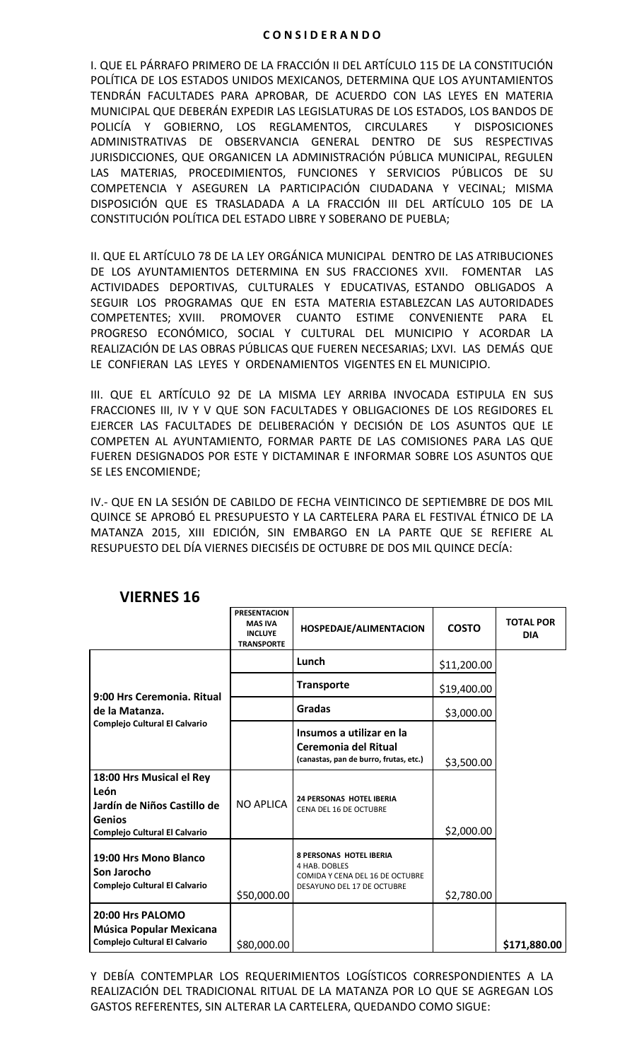#### **C O N S I D E R A N D O**

I. QUE EL PÁRRAFO PRIMERO DE LA FRACCIÓN II DEL ARTÍCULO 115 DE LA CONSTITUCIÓN POLÍTICA DE LOS ESTADOS UNIDOS MEXICANOS, DETERMINA QUE LOS AYUNTAMIENTOS TENDRÁN FACULTADES PARA APROBAR, DE ACUERDO CON LAS LEYES EN MATERIA MUNICIPAL QUE DEBERÁN EXPEDIR LAS LEGISLATURAS DE LOS ESTADOS, LOS BANDOS DE POLICÍA Y GOBIERNO, LOS REGLAMENTOS, CIRCULARES Y DISPOSICIONES ADMINISTRATIVAS DE OBSERVANCIA GENERAL DENTRO DE SUS RESPECTIVAS JURISDICCIONES, QUE ORGANICEN LA ADMINISTRACIÓN PÚBLICA MUNICIPAL, REGULEN LAS MATERIAS, PROCEDIMIENTOS, FUNCIONES Y SERVICIOS PÚBLICOS DE SU COMPETENCIA Y ASEGUREN LA PARTICIPACIÓN CIUDADANA Y VECINAL; MISMA DISPOSICIÓN QUE ES TRASLADADA A LA FRACCIÓN III DEL ARTÍCULO 105 DE LA CONSTITUCIÓN POLÍTICA DEL ESTADO LIBRE Y SOBERANO DE PUEBLA;

II. QUE EL ARTÍCULO 78 DE LA LEY ORGÁNICA MUNICIPAL DENTRO DE LAS ATRIBUCIONES DE LOS AYUNTAMIENTOS DETERMINA EN SUS FRACCIONES XVII. FOMENTAR LAS ACTIVIDADES DEPORTIVAS, CULTURALES Y EDUCATIVAS, ESTANDO OBLIGADOS A SEGUIR LOS PROGRAMAS QUE EN ESTA MATERIA ESTABLEZCAN LAS AUTORIDADES COMPETENTES; XVIII. PROMOVER CUANTO ESTIME CONVENIENTE PARA EL PROGRESO ECONÓMICO, SOCIAL Y CULTURAL DEL MUNICIPIO Y ACORDAR LA REALIZACIÓN DE LAS OBRAS PÚBLICAS QUE FUEREN NECESARIAS; LXVI. LAS DEMÁS QUE LE CONFIERAN LAS LEYES Y ORDENAMIENTOS VIGENTES EN EL MUNICIPIO.

III. QUE EL ARTÍCULO 92 DE LA MISMA LEY ARRIBA INVOCADA ESTIPULA EN SUS FRACCIONES III, IV Y V QUE SON FACULTADES Y OBLIGACIONES DE LOS REGIDORES EL EJERCER LAS FACULTADES DE DELIBERACIÓN Y DECISIÓN DE LOS ASUNTOS QUE LE COMPETEN AL AYUNTAMIENTO, FORMAR PARTE DE LAS COMISIONES PARA LAS QUE FUEREN DESIGNADOS POR ESTE Y DICTAMINAR E INFORMAR SOBRE LOS ASUNTOS QUE SE LES ENCOMIENDE;

IV.- QUE EN LA SESIÓN DE CABILDO DE FECHA VEINTICINCO DE SEPTIEMBRE DE DOS MIL QUINCE SE APROBÓ EL PRESUPUESTO Y LA CARTELERA PARA EL FESTIVAL ÉTNICO DE LA MATANZA 2015, XIII EDICIÓN, SIN EMBARGO EN LA PARTE QUE SE REFIERE AL RESUPUESTO DEL DÍA VIERNES DIECISÉIS DE OCTUBRE DE DOS MIL QUINCE DECÍA:

|                                                                                                                          | <b>PRESENTACION</b><br><b>MAS IVA</b><br><b>INCLUYE</b><br><b>TRANSPORTE</b> | <b>HOSPEDAJE/ALIMENTACION</b>                                                                                    | <b>COSTO</b> | <b>TOTAL POR</b><br><b>DIA</b> |
|--------------------------------------------------------------------------------------------------------------------------|------------------------------------------------------------------------------|------------------------------------------------------------------------------------------------------------------|--------------|--------------------------------|
|                                                                                                                          |                                                                              | Lunch                                                                                                            | \$11,200.00  |                                |
| 9:00 Hrs Ceremonia, Ritual                                                                                               |                                                                              | <b>Transporte</b>                                                                                                | \$19,400.00  |                                |
| de la Matanza.                                                                                                           |                                                                              | Gradas                                                                                                           | \$3,000.00   |                                |
| <b>Complejo Cultural El Calvario</b>                                                                                     |                                                                              | Insumos a utilizar en la<br>Ceremonia del Ritual<br>(canastas, pan de burro, frutas, etc.)                       | \$3,500.00   |                                |
| 18:00 Hrs Musical el Rey<br>León<br>Jardín de Niños Castillo de<br><b>Genios</b><br><b>Complejo Cultural El Calvario</b> | <b>NO APLICA</b>                                                             | <b>24 PERSONAS HOTEL IBERIA</b><br>CENA DEL 16 DE OCTUBRE                                                        | \$2,000.00   |                                |
| 19:00 Hrs Mono Blanco<br>Son Jarocho<br>Complejo Cultural El Calvario                                                    | \$50,000.00                                                                  | <b>8 PERSONAS HOTEL IBERIA</b><br>4 HAB. DOBLES<br>COMIDA Y CENA DEL 16 DE OCTUBRE<br>DESAYUNO DEL 17 DE OCTUBRE | \$2,780.00   |                                |
| 20:00 Hrs PALOMO<br>Música Popular Mexicana<br>Complejo Cultural El Calvario                                             | \$80,000.00                                                                  |                                                                                                                  |              | \$171,880.00                   |

# **VIERNES 16**

Y DEBÍA CONTEMPLAR LOS REQUERIMIENTOS LOGÍSTICOS CORRESPONDIENTES A LA REALIZACIÓN DEL TRADICIONAL RITUAL DE LA MATANZA POR LO QUE SE AGREGAN LOS GASTOS REFERENTES, SIN ALTERAR LA CARTELERA, QUEDANDO COMO SIGUE: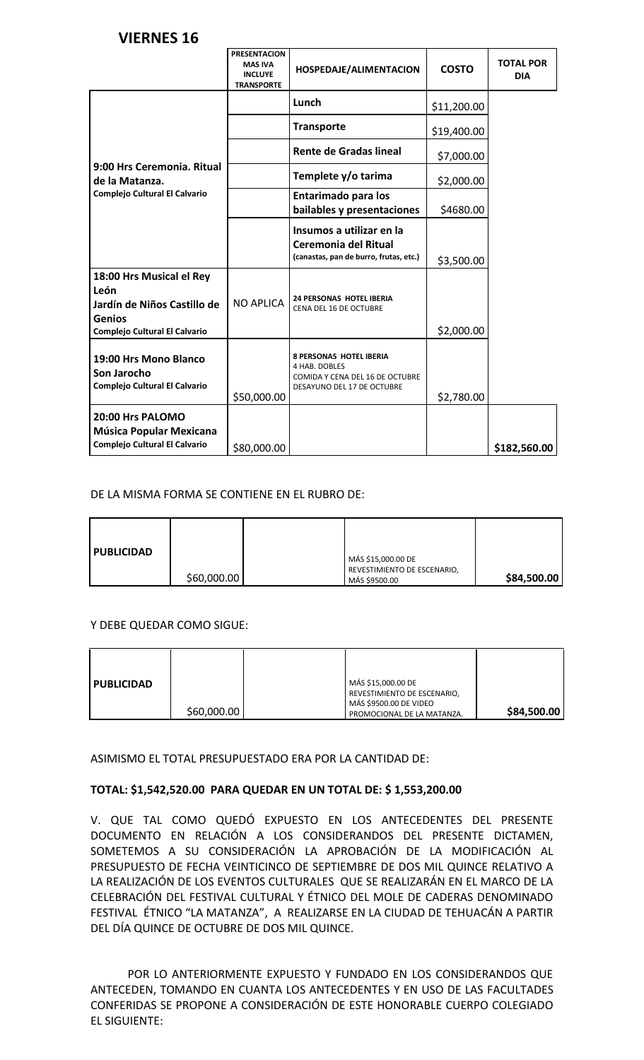# **VIERNES 16**

|                                                                                                                   | <b>PRESENTACION</b><br><b>MAS IVA</b><br><b>INCLUYE</b><br><b>TRANSPORTE</b> | HOSPEDAJE/ALIMENTACION                                                                                           | <b>COSTO</b> | <b>TOTAL POR</b><br><b>DIA</b> |
|-------------------------------------------------------------------------------------------------------------------|------------------------------------------------------------------------------|------------------------------------------------------------------------------------------------------------------|--------------|--------------------------------|
|                                                                                                                   |                                                                              | Lunch                                                                                                            | \$11,200.00  |                                |
|                                                                                                                   |                                                                              | <b>Transporte</b>                                                                                                | \$19,400.00  |                                |
|                                                                                                                   |                                                                              | <b>Rente de Gradas lineal</b>                                                                                    | \$7,000.00   |                                |
| 9:00 Hrs Ceremonia. Ritual<br>de la Matanza.                                                                      |                                                                              | Templete y/o tarima                                                                                              | \$2,000.00   |                                |
| Complejo Cultural El Calvario                                                                                     |                                                                              | <b>Entarimado para los</b><br>bailables y presentaciones                                                         | \$4680.00    |                                |
|                                                                                                                   |                                                                              | Insumos a utilizar en la<br>Ceremonia del Ritual<br>(canastas, pan de burro, frutas, etc.)                       | \$3,500.00   |                                |
| 18:00 Hrs Musical el Rey<br>León<br>Jardín de Niños Castillo de<br><b>Genios</b><br>Complejo Cultural El Calvario | <b>NO APLICA</b>                                                             | <b>24 PERSONAS HOTEL IBERIA</b><br>CENA DEL 16 DE OCTUBRE                                                        | \$2,000.00   |                                |
| 19:00 Hrs Mono Blanco<br>Son Jarocho<br>Complejo Cultural El Calvario                                             | \$50,000.00                                                                  | <b>8 PERSONAS HOTEL IBERIA</b><br>4 HAB. DOBLES<br>COMIDA Y CENA DEL 16 DE OCTUBRE<br>DESAYUNO DEL 17 DE OCTUBRE | \$2,780.00   |                                |
| 20:00 Hrs PALOMO<br>Música Popular Mexicana<br>Complejo Cultural El Calvario                                      | \$80,000.00                                                                  |                                                                                                                  |              | \$182,560.00                   |

### DE LA MISMA FORMA SE CONTIENE EN EL RUBRO DE:

| <b>PUBLICIDAD</b> | \$60,000.00 | MÁS \$15,000.00 DE<br>REVESTIMIENTO DE ESCENARIO,<br>MÁS \$9500.00 | \$84,500.00 |
|-------------------|-------------|--------------------------------------------------------------------|-------------|
|                   |             |                                                                    |             |

### Y DEBE QUEDAR COMO SIGUE:

| <b>PUBLICIDAD</b> | \$60,000.00 |  | MÁS \$15,000.00 DE<br>REVESTIMIENTO DE ESCENARIO,<br>MÁS \$9500.00 DE VIDEO<br>PROMOCIONAL DE LA MATANZA. | \$84,500.00 |
|-------------------|-------------|--|-----------------------------------------------------------------------------------------------------------|-------------|
|-------------------|-------------|--|-----------------------------------------------------------------------------------------------------------|-------------|

### ASIMISMO EL TOTAL PRESUPUESTADO ERA POR LA CANTIDAD DE:

### **TOTAL: \$1,542,520.00 PARA QUEDAR EN UN TOTAL DE: \$ 1,553,200.00**

V. QUE TAL COMO QUEDÓ EXPUESTO EN LOS ANTECEDENTES DEL PRESENTE DOCUMENTO EN RELACIÓN A LOS CONSIDERANDOS DEL PRESENTE DICTAMEN, SOMETEMOS A SU CONSIDERACIÓN LA APROBACIÓN DE LA MODIFICACIÓN AL PRESUPUESTO DE FECHA VEINTICINCO DE SEPTIEMBRE DE DOS MIL QUINCE RELATIVO A LA REALIZACIÓN DE LOS EVENTOS CULTURALES QUE SE REALIZARÁN EN EL MARCO DE LA CELEBRACIÓN DEL FESTIVAL CULTURAL Y ÉTNICO DEL MOLE DE CADERAS DENOMINADO FESTIVAL ÉTNICO "LA MATANZA", A REALIZARSE EN LA CIUDAD DE TEHUACÁN A PARTIR DEL DÍA QUINCE DE OCTUBRE DE DOS MIL QUINCE.

POR LO ANTERIORMENTE EXPUESTO Y FUNDADO EN LOS CONSIDERANDOS QUE ANTECEDEN, TOMANDO EN CUANTA LOS ANTECEDENTES Y EN USO DE LAS FACULTADES CONFERIDAS SE PROPONE A CONSIDERACIÓN DE ESTE HONORABLE CUERPO COLEGIADO EL SIGUIENTE: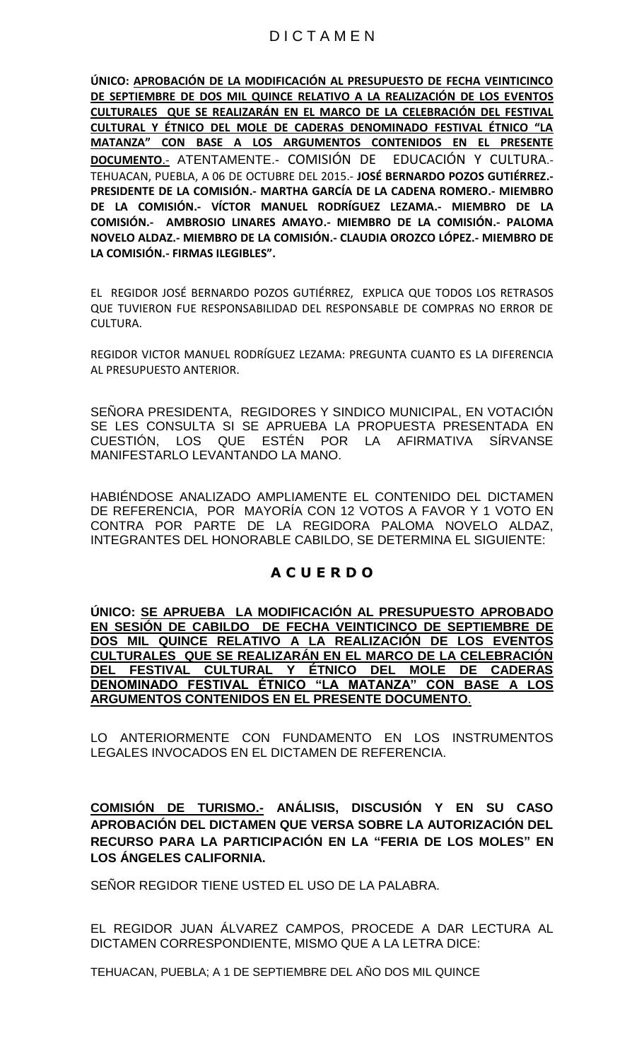**ÚNICO: APROBACIÓN DE LA MODIFICACIÓN AL PRESUPUESTO DE FECHA VEINTICINCO DE SEPTIEMBRE DE DOS MIL QUINCE RELATIVO A LA REALIZACIÓN DE LOS EVENTOS CULTURALES QUE SE REALIZARÁN EN EL MARCO DE LA CELEBRACIÓN DEL FESTIVAL CULTURAL Y ÉTNICO DEL MOLE DE CADERAS DENOMINADO FESTIVAL ÉTNICO "LA MATANZA" CON BASE A LOS ARGUMENTOS CONTENIDOS EN EL PRESENTE DOCUMENTO**.- ATENTAMENTE.- COMISIÓN DE EDUCACIÓN Y CULTURA.- TEHUACAN, PUEBLA, A 06 DE OCTUBRE DEL 2015.- **JOSÉ BERNARDO POZOS GUTIÉRREZ.- PRESIDENTE DE LA COMISIÓN.- MARTHA GARCÍA DE LA CADENA ROMERO.- MIEMBRO DE LA COMISIÓN.- VÍCTOR MANUEL RODRÍGUEZ LEZAMA.- MIEMBRO DE LA COMISIÓN.- AMBROSIO LINARES AMAYO.- MIEMBRO DE LA COMISIÓN.- PALOMA NOVELO ALDAZ.- MIEMBRO DE LA COMISIÓN.- CLAUDIA OROZCO LÓPEZ.- MIEMBRO DE LA COMISIÓN.- FIRMAS ILEGIBLES".**

EL REGIDOR JOSÉ BERNARDO POZOS GUTIÉRREZ, EXPLICA QUE TODOS LOS RETRASOS QUE TUVIERON FUE RESPONSABILIDAD DEL RESPONSABLE DE COMPRAS NO ERROR DE CULTURA.

REGIDOR VICTOR MANUEL RODRÍGUEZ LEZAMA: PREGUNTA CUANTO ES LA DIFERENCIA AL PRESUPUESTO ANTERIOR.

SEÑORA PRESIDENTA, REGIDORES Y SINDICO MUNICIPAL, EN VOTACIÓN SE LES CONSULTA SI SE APRUEBA LA PROPUESTA PRESENTADA EN CUESTIÓN, LOS QUE ESTÉN POR LA AFIRMATIVA SÍRVANSE MANIFESTARLO LEVANTANDO LA MANO.

HABIÉNDOSE ANALIZADO AMPLIAMENTE EL CONTENIDO DEL DICTAMEN DE REFERENCIA, POR MAYORÍA CON 12 VOTOS A FAVOR Y 1 VOTO EN CONTRA POR PARTE DE LA REGIDORA PALOMA NOVELO ALDAZ, INTEGRANTES DEL HONORABLE CABILDO, SE DETERMINA EL SIGUIENTE:

# **A C U E R D O**

**ÚNICO: SE APRUEBA LA MODIFICACIÓN AL PRESUPUESTO APROBADO EN SESIÓN DE CABILDO DE FECHA VEINTICINCO DE SEPTIEMBRE DE DOS MIL QUINCE RELATIVO A LA REALIZACIÓN DE LOS EVENTOS CULTURALES QUE SE REALIZARÁN EN EL MARCO DE LA CELEBRACIÓN DEL FESTIVAL CULTURAL Y ÉTNICO DEL MOLE DE CADERAS DENOMINADO FESTIVAL ÉTNICO "LA MATANZA" CON BASE A LOS ARGUMENTOS CONTENIDOS EN EL PRESENTE DOCUMENTO**.

LO ANTERIORMENTE CON FUNDAMENTO EN LOS INSTRUMENTOS LEGALES INVOCADOS EN EL DICTAMEN DE REFERENCIA.

**COMISIÓN DE TURISMO.- ANÁLISIS, DISCUSIÓN Y EN SU CASO APROBACIÓN DEL DICTAMEN QUE VERSA SOBRE LA AUTORIZACIÓN DEL RECURSO PARA LA PARTICIPACIÓN EN LA "FERIA DE LOS MOLES" EN LOS ÁNGELES CALIFORNIA.**

SEÑOR REGIDOR TIENE USTED EL USO DE LA PALABRA.

EL REGIDOR JUAN ÁLVAREZ CAMPOS, PROCEDE A DAR LECTURA AL DICTAMEN CORRESPONDIENTE, MISMO QUE A LA LETRA DICE:

TEHUACAN, PUEBLA; A 1 DE SEPTIEMBRE DEL AÑO DOS MIL QUINCE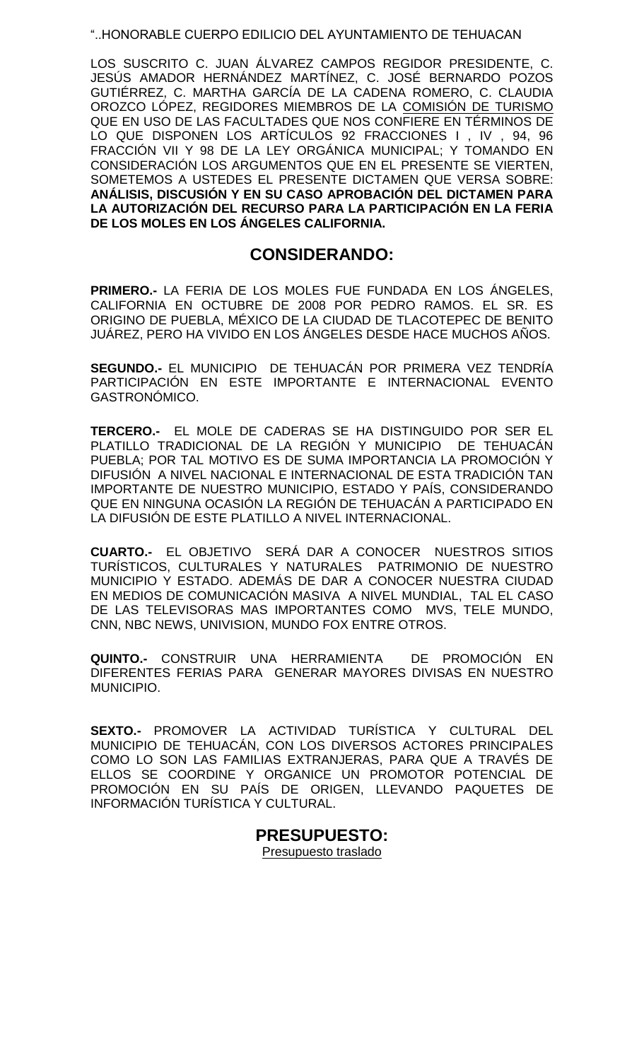### "..HONORABLE CUERPO EDILICIO DEL AYUNTAMIENTO DE TEHUACAN

LOS SUSCRITO C. JUAN ÁLVAREZ CAMPOS REGIDOR PRESIDENTE, C. JESÚS AMADOR HERNÁNDEZ MARTÍNEZ, C. JOSÉ BERNARDO POZOS GUTIÉRREZ, C. MARTHA GARCÍA DE LA CADENA ROMERO, C. CLAUDIA OROZCO LÓPEZ, REGIDORES MIEMBROS DE LA COMISIÓN DE TURISMO QUE EN USO DE LAS FACULTADES QUE NOS CONFIERE EN TÉRMINOS DE LO QUE DISPONEN LOS ARTÍCULOS 92 FRACCIONES I , IV , 94, 96 FRACCIÓN VII Y 98 DE LA LEY ORGÁNICA MUNICIPAL; Y TOMANDO EN CONSIDERACIÓN LOS ARGUMENTOS QUE EN EL PRESENTE SE VIERTEN, SOMETEMOS A USTEDES EL PRESENTE DICTAMEN QUE VERSA SOBRE: **ANÁLISIS, DISCUSIÓN Y EN SU CASO APROBACIÓN DEL DICTAMEN PARA LA AUTORIZACIÓN DEL RECURSO PARA LA PARTICIPACIÓN EN LA FERIA DE LOS MOLES EN LOS ÁNGELES CALIFORNIA.** 

# **CONSIDERANDO:**

**PRIMERO.-** LA FERIA DE LOS MOLES FUE FUNDADA EN LOS ÁNGELES, CALIFORNIA EN OCTUBRE DE 2008 POR PEDRO RAMOS. EL SR. ES ORIGINO DE PUEBLA, MÉXICO DE LA CIUDAD DE TLACOTEPEC DE BENITO JUÁREZ, PERO HA VIVIDO EN LOS ÁNGELES DESDE HACE MUCHOS AÑOS.

**SEGUNDO.-** EL MUNICIPIO DE TEHUACÁN POR PRIMERA VEZ TENDRÍA PARTICIPACIÓN EN ESTE IMPORTANTE E INTERNACIONAL EVENTO GASTRONÓMICO.

**TERCERO.-** EL MOLE DE CADERAS SE HA DISTINGUIDO POR SER EL PLATILLO TRADICIONAL DE LA REGIÓN Y MUNICIPIO DE TEHUACÁN PUEBLA; POR TAL MOTIVO ES DE SUMA IMPORTANCIA LA PROMOCIÓN Y DIFUSIÓN A NIVEL NACIONAL E INTERNACIONAL DE ESTA TRADICIÓN TAN IMPORTANTE DE NUESTRO MUNICIPIO, ESTADO Y PAÍS, CONSIDERANDO QUE EN NINGUNA OCASIÓN LA REGIÓN DE TEHUACÁN A PARTICIPADO EN LA DIFUSIÓN DE ESTE PLATILLO A NIVEL INTERNACIONAL.

**CUARTO.-** EL OBJETIVO SERÁ DAR A CONOCER NUESTROS SITIOS TURÍSTICOS, CULTURALES Y NATURALES PATRIMONIO DE NUESTRO MUNICIPIO Y ESTADO. ADEMÁS DE DAR A CONOCER NUESTRA CIUDAD EN MEDIOS DE COMUNICACIÓN MASIVA A NIVEL MUNDIAL, TAL EL CASO DE LAS TELEVISORAS MAS IMPORTANTES COMO MVS, TELE MUNDO, CNN, NBC NEWS, UNIVISION, MUNDO FOX ENTRE OTROS.

**QUINTO.-** CONSTRUIR UNA HERRAMIENTA DE PROMOCIÓN EN DIFERENTES FERIAS PARA GENERAR MAYORES DIVISAS EN NUESTRO MUNICIPIO.

**SEXTO.-** PROMOVER LA ACTIVIDAD TURÍSTICA Y CULTURAL DEL MUNICIPIO DE TEHUACÁN, CON LOS DIVERSOS ACTORES PRINCIPALES COMO LO SON LAS FAMILIAS EXTRANJERAS, PARA QUE A TRAVÉS DE ELLOS SE COORDINE Y ORGANICE UN PROMOTOR POTENCIAL DE PROMOCIÓN EN SU PAÍS DE ORIGEN, LLEVANDO PAQUETES DE INFORMACIÓN TURÍSTICA Y CULTURAL.

# **PRESUPUESTO:**

Presupuesto traslado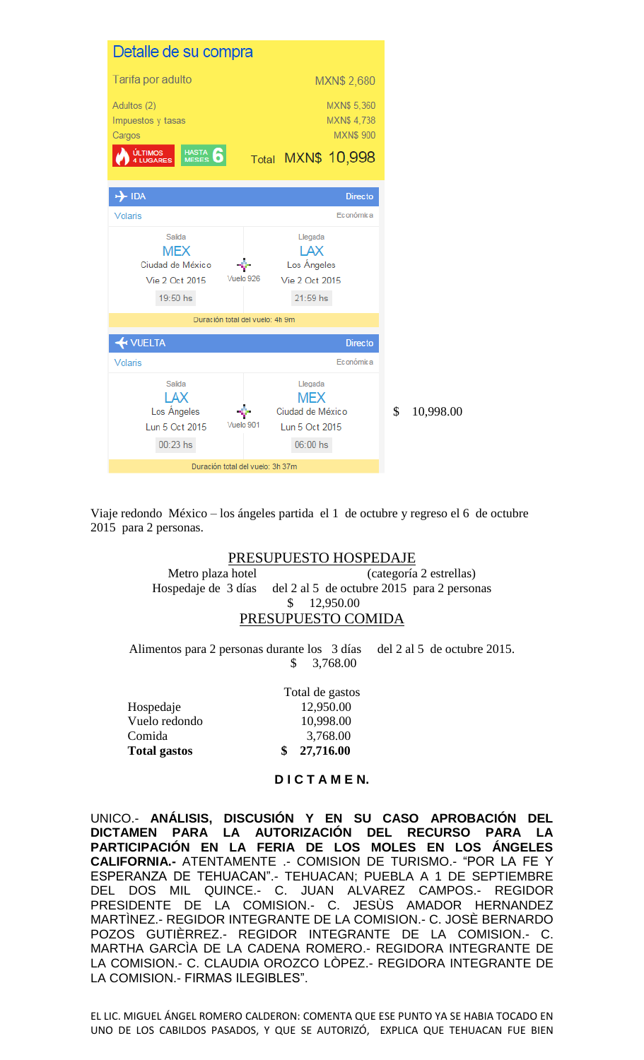|                   | Detalle de su compra                                                                                    |                                  |                                                                         |                                              |               |           |
|-------------------|---------------------------------------------------------------------------------------------------------|----------------------------------|-------------------------------------------------------------------------|----------------------------------------------|---------------|-----------|
|                   | Tarifa por adulto                                                                                       |                                  |                                                                         | MXN\$ 2,680                                  |               |           |
| Cargos            | Adultos (2)<br>Impuestos y tasas<br><b>ÚLTIMOS</b><br><b>HASTA</b><br><u>M</u> ESES<br><b>4 LUGARES</b> |                                  | <b>Total MXN\$ 10,998</b>                                               | MXN\$ 5,360<br>MXN\$4,738<br><b>MXN\$900</b> |               |           |
| $\rightarrow$ IDA |                                                                                                         |                                  |                                                                         | <b>Directo</b>                               |               |           |
| Volaris           |                                                                                                         |                                  |                                                                         | <b>Económica</b>                             |               |           |
|                   | Salida<br><b>MEX</b><br>Ciudad de México<br>Vie 2 Oct 2015<br>19:50 hs                                  | Vuelo 926                        | Llegada<br>LAX<br>Los Ángeles<br>Vie 2 Oct 2015<br>21:59 hs             |                                              |               |           |
|                   |                                                                                                         | Duración total del vuelo: 4h 9m  |                                                                         |                                              |               |           |
|                   | <b>H</b> VUELTA                                                                                         |                                  |                                                                         | <b>Directo</b>                               |               |           |
| Volaris           |                                                                                                         |                                  |                                                                         | Económica                                    |               |           |
|                   | Salida<br>LAX<br>Los Ángeles<br>Lun 5 Oct 2015<br>$00:23$ hs                                            | Vuelo 901                        | Llegada<br><b>MEX</b><br>Ciudad de México<br>Lun 5 Oct 2015<br>06:00 hs |                                              | $\mathcal{S}$ | 10,998.00 |
|                   |                                                                                                         | Duración total del vuelo: 3h 37m |                                                                         |                                              |               |           |

Viaje redondo México – los ángeles partida el 1 de octubre y regreso el 6 de octubre 2015 para 2 personas.

## PRESUPUESTO HOSPEDAJE

Metro plaza hotel (categoría 2 estrellas) Hospedaje de 3 días del 2 al 5 de octubre 2015 para 2 personas \$ 12,950.00 PRESUPUESTO COMIDA

Alimentos para 2 personas durante los 3 días del 2 al 5 de octubre 2015. \$ 3,768.00

|                     | Total de gastos |
|---------------------|-----------------|
| Hospedaje           | 12,950.00       |
| Vuelo redondo       | 10,998.00       |
| Comida              | 3,768.00        |
| <b>Total gastos</b> | \$27,716.00     |

#### **D I C T A M E N.**

UNICO.- **ANÁLISIS, DISCUSIÓN Y EN SU CASO APROBACIÓN DEL DICTAMEN PARA LA AUTORIZACIÓN DEL RECURSO PARA LA PARTICIPACIÓN EN LA FERIA DE LOS MOLES EN LOS ÁNGELES CALIFORNIA.-** ATENTAMENTE .- COMISION DE TURISMO.- "POR LA FE Y ESPERANZA DE TEHUACAN".- TEHUACAN; PUEBLA A 1 DE SEPTIEMBRE DEL DOS MIL QUINCE.- C. JUAN ALVAREZ CAMPOS.- REGIDOR PRESIDENTE DE LA COMISION.- C. JESÙS AMADOR HERNANDEZ MARTÌNEZ.- REGIDOR INTEGRANTE DE LA COMISION.- C. JOSÈ BERNARDO POZOS GUTIÈRREZ.- REGIDOR INTEGRANTE DE LA COMISION.- C. MARTHA GARCÌA DE LA CADENA ROMERO.- REGIDORA INTEGRANTE DE LA COMISION.- C. CLAUDIA OROZCO LÒPEZ.- REGIDORA INTEGRANTE DE LA COMISION.- FIRMAS ILEGIBLES".

EL LIC. MIGUEL ÁNGEL ROMERO CALDERON: COMENTA QUE ESE PUNTO YA SE HABIA TOCADO EN UNO DE LOS CABILDOS PASADOS, Y QUE SE AUTORIZÓ, EXPLICA QUE TEHUACAN FUE BIEN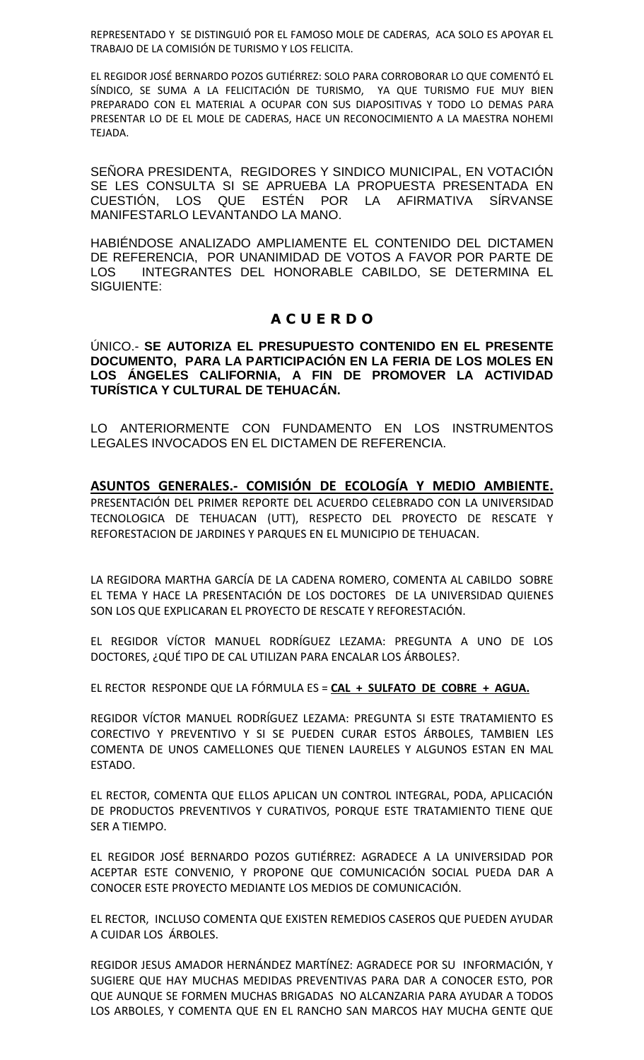REPRESENTADO Y SE DISTINGUIÓ POR EL FAMOSO MOLE DE CADERAS, ACA SOLO ES APOYAR EL TRABAJO DE LA COMISIÓN DE TURISMO Y LOS FELICITA.

EL REGIDOR JOSÉ BERNARDO POZOS GUTIÉRREZ: SOLO PARA CORROBORAR LO QUE COMENTÓ EL SÍNDICO, SE SUMA A LA FELICITACIÓN DE TURISMO, YA QUE TURISMO FUE MUY BIEN PREPARADO CON EL MATERIAL A OCUPAR CON SUS DIAPOSITIVAS Y TODO LO DEMAS PARA PRESENTAR LO DE EL MOLE DE CADERAS, HACE UN RECONOCIMIENTO A LA MAESTRA NOHEMI TEJADA.

SEÑORA PRESIDENTA, REGIDORES Y SINDICO MUNICIPAL, EN VOTACIÓN SE LES CONSULTA SI SE APRUEBA LA PROPUESTA PRESENTADA EN CUESTIÓN, LOS QUE ESTÉN POR LA AFIRMATIVA SÍRVANSE MANIFESTARLO LEVANTANDO LA MANO.

HABIÉNDOSE ANALIZADO AMPLIAMENTE EL CONTENIDO DEL DICTAMEN DE REFERENCIA, POR UNANIMIDAD DE VOTOS A FAVOR POR PARTE DE LOS INTEGRANTES DEL HONORABLE CABILDO, SE DETERMINA EL SIGUIENTE:

# **A C U E R D O**

ÚNICO.- **SE AUTORIZA EL PRESUPUESTO CONTENIDO EN EL PRESENTE DOCUMENTO, PARA LA PARTICIPACIÓN EN LA FERIA DE LOS MOLES EN LOS ÁNGELES CALIFORNIA, A FIN DE PROMOVER LA ACTIVIDAD TURÍSTICA Y CULTURAL DE TEHUACÁN.** 

LO ANTERIORMENTE CON FUNDAMENTO EN LOS INSTRUMENTOS LEGALES INVOCADOS EN EL DICTAMEN DE REFERENCIA.

**ASUNTOS GENERALES.- COMISIÓN DE ECOLOGÍA Y MEDIO AMBIENTE.** PRESENTACIÓN DEL PRIMER REPORTE DEL ACUERDO CELEBRADO CON LA UNIVERSIDAD TECNOLOGICA DE TEHUACAN (UTT), RESPECTO DEL PROYECTO DE RESCATE Y REFORESTACION DE JARDINES Y PARQUES EN EL MUNICIPIO DE TEHUACAN.

LA REGIDORA MARTHA GARCÍA DE LA CADENA ROMERO, COMENTA AL CABILDO SOBRE EL TEMA Y HACE LA PRESENTACIÓN DE LOS DOCTORES DE LA UNIVERSIDAD QUIENES SON LOS QUE EXPLICARAN EL PROYECTO DE RESCATE Y REFORESTACIÓN.

EL REGIDOR VÍCTOR MANUEL RODRÍGUEZ LEZAMA: PREGUNTA A UNO DE LOS DOCTORES, ¿QUÉ TIPO DE CAL UTILIZAN PARA ENCALAR LOS ÁRBOLES?.

EL RECTOR RESPONDE QUE LA FÓRMULA ES = **CAL + SULFATO DE COBRE + AGUA.** 

REGIDOR VÍCTOR MANUEL RODRÍGUEZ LEZAMA: PREGUNTA SI ESTE TRATAMIENTO ES CORECTIVO Y PREVENTIVO Y SI SE PUEDEN CURAR ESTOS ÁRBOLES, TAMBIEN LES COMENTA DE UNOS CAMELLONES QUE TIENEN LAURELES Y ALGUNOS ESTAN EN MAL ESTADO.

EL RECTOR, COMENTA QUE ELLOS APLICAN UN CONTROL INTEGRAL, PODA, APLICACIÓN DE PRODUCTOS PREVENTIVOS Y CURATIVOS, PORQUE ESTE TRATAMIENTO TIENE QUE SER A TIEMPO.

EL REGIDOR JOSÉ BERNARDO POZOS GUTIÉRREZ: AGRADECE A LA UNIVERSIDAD POR ACEPTAR ESTE CONVENIO, Y PROPONE QUE COMUNICACIÓN SOCIAL PUEDA DAR A CONOCER ESTE PROYECTO MEDIANTE LOS MEDIOS DE COMUNICACIÓN.

EL RECTOR, INCLUSO COMENTA QUE EXISTEN REMEDIOS CASEROS QUE PUEDEN AYUDAR A CUIDAR LOS ÁRBOLES.

REGIDOR JESUS AMADOR HERNÁNDEZ MARTÍNEZ: AGRADECE POR SU INFORMACIÓN, Y SUGIERE QUE HAY MUCHAS MEDIDAS PREVENTIVAS PARA DAR A CONOCER ESTO, POR QUE AUNQUE SE FORMEN MUCHAS BRIGADAS NO ALCANZARIA PARA AYUDAR A TODOS LOS ARBOLES, Y COMENTA QUE EN EL RANCHO SAN MARCOS HAY MUCHA GENTE QUE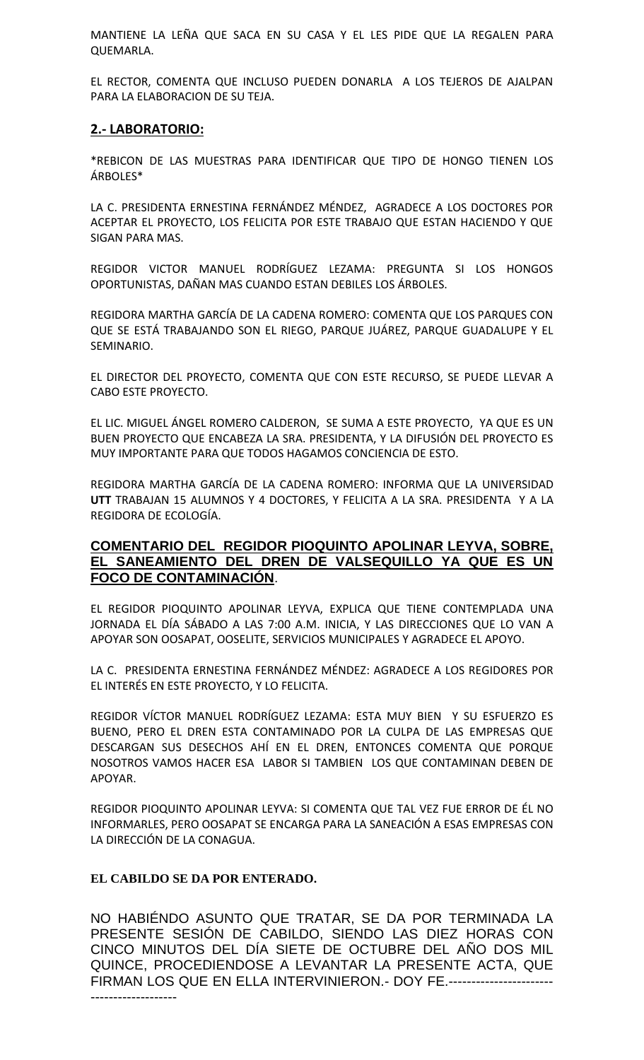MANTIENE LA LEÑA QUE SACA EN SU CASA Y EL LES PIDE QUE LA REGALEN PARA QUEMARLA.

EL RECTOR, COMENTA QUE INCLUSO PUEDEN DONARLA A LOS TEJEROS DE AJALPAN PARA LA ELABORACION DE SU TEJA.

## **2.- LABORATORIO:**

\*REBICON DE LAS MUESTRAS PARA IDENTIFICAR QUE TIPO DE HONGO TIENEN LOS ÁRBOLES\*

LA C. PRESIDENTA ERNESTINA FERNÁNDEZ MÉNDEZ, AGRADECE A LOS DOCTORES POR ACEPTAR EL PROYECTO, LOS FELICITA POR ESTE TRABAJO QUE ESTAN HACIENDO Y QUE SIGAN PARA MAS.

REGIDOR VICTOR MANUEL RODRÍGUEZ LEZAMA: PREGUNTA SI LOS HONGOS OPORTUNISTAS, DAÑAN MAS CUANDO ESTAN DEBILES LOS ÁRBOLES.

REGIDORA MARTHA GARCÍA DE LA CADENA ROMERO: COMENTA QUE LOS PARQUES CON QUE SE ESTÁ TRABAJANDO SON EL RIEGO, PARQUE JUÁREZ, PARQUE GUADALUPE Y EL SEMINARIO.

EL DIRECTOR DEL PROYECTO, COMENTA QUE CON ESTE RECURSO, SE PUEDE LLEVAR A CABO ESTE PROYECTO.

EL LIC. MIGUEL ÁNGEL ROMERO CALDERON, SE SUMA A ESTE PROYECTO, YA QUE ES UN BUEN PROYECTO QUE ENCABEZA LA SRA. PRESIDENTA, Y LA DIFUSIÓN DEL PROYECTO ES MUY IMPORTANTE PARA QUE TODOS HAGAMOS CONCIENCIA DE ESTO.

REGIDORA MARTHA GARCÍA DE LA CADENA ROMERO: INFORMA QUE LA UNIVERSIDAD **UTT** TRABAJAN 15 ALUMNOS Y 4 DOCTORES, Y FELICITA A LA SRA. PRESIDENTA Y A LA REGIDORA DE ECOLOGÍA.

## **COMENTARIO DEL REGIDOR PIOQUINTO APOLINAR LEYVA, SOBRE, EL SANEAMIENTO DEL DREN DE VALSEQUILLO YA QUE ES UN FOCO DE CONTAMINACIÓN**.

EL REGIDOR PIOQUINTO APOLINAR LEYVA, EXPLICA QUE TIENE CONTEMPLADA UNA JORNADA EL DÍA SÁBADO A LAS 7:00 A.M. INICIA, Y LAS DIRECCIONES QUE LO VAN A APOYAR SON OOSAPAT, OOSELITE, SERVICIOS MUNICIPALES Y AGRADECE EL APOYO.

LA C. PRESIDENTA ERNESTINA FERNÁNDEZ MÉNDEZ: AGRADECE A LOS REGIDORES POR EL INTERÉS EN ESTE PROYECTO, Y LO FELICITA.

REGIDOR VÍCTOR MANUEL RODRÍGUEZ LEZAMA: ESTA MUY BIEN Y SU ESFUERZO ES BUENO, PERO EL DREN ESTA CONTAMINADO POR LA CULPA DE LAS EMPRESAS QUE DESCARGAN SUS DESECHOS AHÍ EN EL DREN, ENTONCES COMENTA QUE PORQUE NOSOTROS VAMOS HACER ESA LABOR SI TAMBIEN LOS QUE CONTAMINAN DEBEN DE APOYAR.

REGIDOR PIOQUINTO APOLINAR LEYVA: SI COMENTA QUE TAL VEZ FUE ERROR DE ÉL NO INFORMARLES, PERO OOSAPAT SE ENCARGA PARA LA SANEACIÓN A ESAS EMPRESAS CON LA DIRECCIÓN DE LA CONAGUA.

### **EL CABILDO SE DA POR ENTERADO.**

NO HABIÉNDO ASUNTO QUE TRATAR, SE DA POR TERMINADA LA PRESENTE SESIÓN DE CABILDO, SIENDO LAS DIEZ HORAS CON CINCO MINUTOS DEL DÍA SIETE DE OCTUBRE DEL AÑO DOS MIL QUINCE, PROCEDIENDOSE A LEVANTAR LA PRESENTE ACTA, QUE FIRMAN LOS QUE EN ELLA INTERVINIERON.- DOY FE.----------------------- -------------------